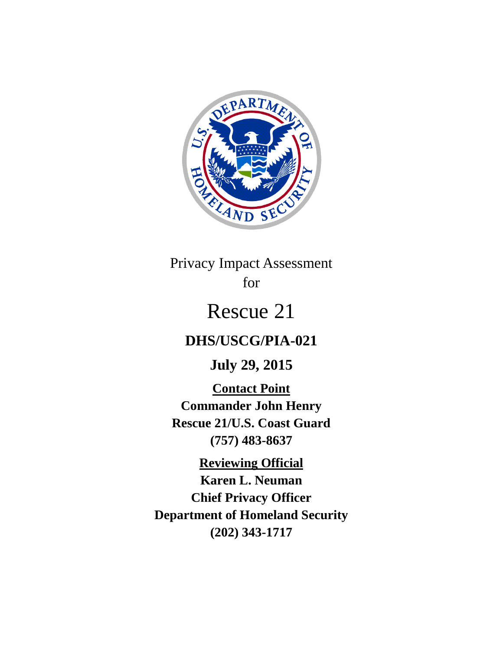

# Privacy Impact Assessment for

# Rescue 21

# **DHS/USCG/PIA-021**

**July 29, 2015**

**Contact Point Commander John Henry Rescue 21/U.S. Coast Guard (757) 483-8637**

**Reviewing Official Karen L. Neuman Chief Privacy Officer Department of Homeland Security (202) 343-1717**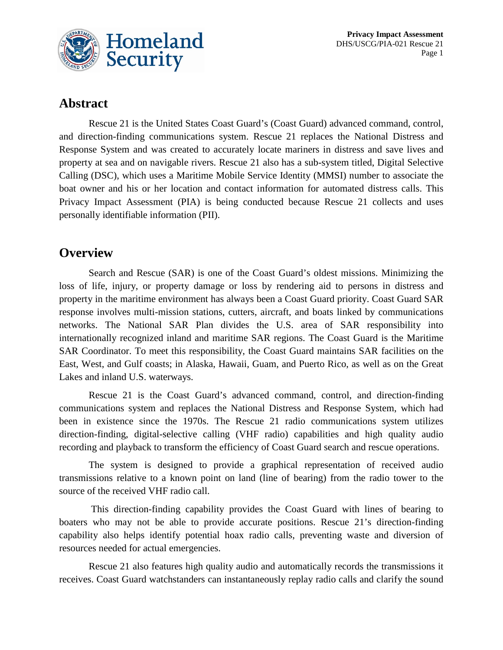

#### **Abstract**

Rescue 21 is the United States Coast Guard's (Coast Guard) advanced command, control, and direction-finding communications system. Rescue 21 replaces the National Distress and Response System and was created to accurately locate mariners in distress and save lives and property at sea and on navigable rivers. Rescue 21 also has a sub-system titled, Digital Selective Calling (DSC), which uses a Maritime Mobile Service Identity (MMSI) number to associate the boat owner and his or her location and contact information for automated distress calls. This Privacy Impact Assessment (PIA) is being conducted because Rescue 21 collects and uses personally identifiable information (PII).

### **Overview**

Search and Rescue (SAR) is one of the Coast Guard's oldest missions. Minimizing the loss of life, injury, or property damage or loss by rendering aid to persons in distress and property in the maritime environment has always been a Coast Guard priority. Coast Guard SAR response involves multi-mission stations, cutters, aircraft, and boats linked by communications networks. The National SAR Plan divides the U.S. area of SAR responsibility into internationally recognized inland and maritime SAR regions. The Coast Guard is the Maritime SAR Coordinator. To meet this responsibility, the Coast Guard maintains SAR facilities on the East, West, and Gulf coasts; in Alaska, Hawaii, Guam, and Puerto Rico, as well as on the Great Lakes and inland U.S. waterways.

Rescue 21 is the Coast Guard's advanced command, control, and direction-finding communications system and replaces the National Distress and Response System, which had been in existence since the 1970s. The Rescue 21 radio communications system utilizes direction-finding, digital-selective calling (VHF radio) capabilities and high quality audio recording and playback to transform the efficiency of Coast Guard search and rescue operations.

The system is designed to provide a graphical representation of received audio transmissions relative to a known point on land (line of bearing) from the radio tower to the source of the received VHF radio call.

This direction-finding capability provides the Coast Guard with lines of bearing to boaters who may not be able to provide accurate positions. Rescue 21's direction-finding capability also helps identify potential hoax radio calls, preventing waste and diversion of resources needed for actual emergencies.

Rescue 21 also features high quality audio and automatically records the transmissions it receives. Coast Guard watchstanders can instantaneously replay radio calls and clarify the sound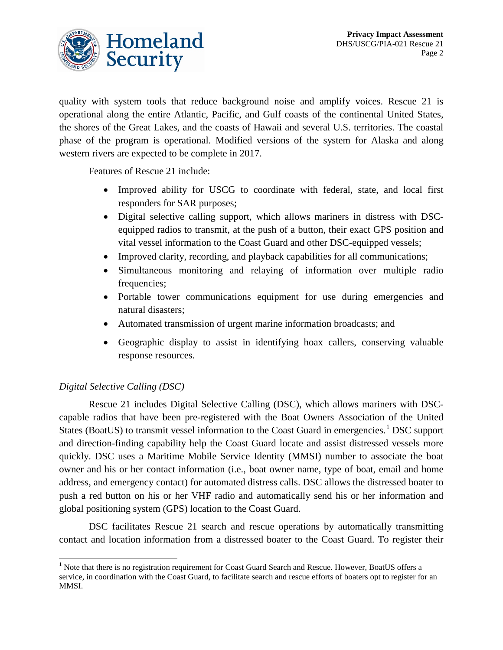

quality with system tools that reduce background noise and amplify voices. Rescue 21 is operational along the entire Atlantic, Pacific, and Gulf coasts of the continental United States, the shores of the Great Lakes, and the coasts of Hawaii and several U.S. territories. The coastal phase of the program is operational. Modified versions of the system for Alaska and along western rivers are expected to be complete in 2017.

Features of Rescue 21 include:

- Improved ability for USCG to coordinate with federal, state, and local first responders for SAR purposes;
- Digital selective calling support, which allows mariners in distress with DSCequipped radios to transmit, at the push of a button, their exact GPS position and vital vessel information to the Coast Guard and other DSC-equipped vessels;
- Improved clarity, recording, and playback capabilities for all communications;
- Simultaneous monitoring and relaying of information over multiple radio frequencies;
- Portable tower communications equipment for use during emergencies and natural disasters;
- Automated transmission of urgent marine information broadcasts; and
- Geographic display to assist in identifying hoax callers, conserving valuable response resources.

#### *Digital Selective Calling (DSC)*

Rescue 21 includes Digital Selective Calling (DSC), which allows mariners with DSCcapable radios that have been pre-registered with the Boat Owners Association of the United States (BoatUS) to transmit vessel information to the Coast Guard in emergencies.<sup>[1](#page-2-0)</sup> DSC support and direction-finding capability help the Coast Guard locate and assist distressed vessels more quickly. DSC uses a Maritime Mobile Service Identity (MMSI) number to associate the boat owner and his or her contact information (i.e., boat owner name, type of boat, email and home address, and emergency contact) for automated distress calls. DSC allows the distressed boater to push a red button on his or her VHF radio and automatically send his or her information and global positioning system (GPS) location to the Coast Guard.

DSC facilitates Rescue 21 search and rescue operations by automatically transmitting contact and location information from a distressed boater to the Coast Guard. To register their

<span id="page-2-0"></span><sup>&</sup>lt;sup>1</sup> Note that there is no registration requirement for Coast Guard Search and Rescue. However, BoatUS offers a service, in coordination with the Coast Guard, to facilitate search and rescue efforts of boaters opt to register for an MMSI.  $\overline{a}$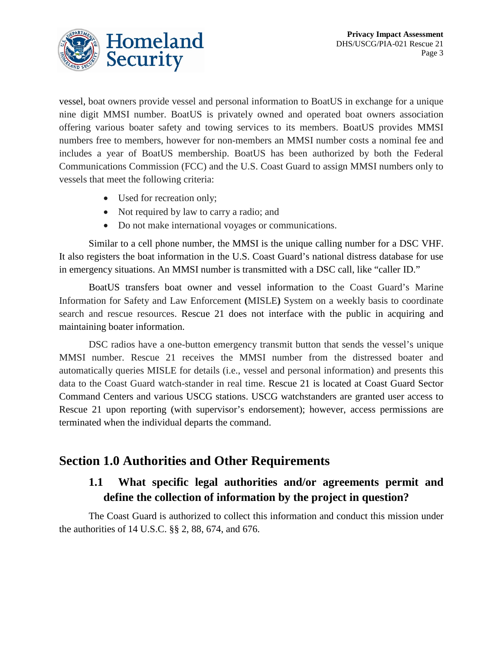

vessel, boat owners provide vessel and personal information to BoatUS in exchange for a unique nine digit MMSI number. BoatUS is privately owned and operated boat owners association offering various boater safety and towing services to its members. BoatUS provides MMSI numbers free to members, however for non-members an MMSI number costs a nominal fee and includes a year of BoatUS membership. BoatUS has been authorized by both the Federal Communications Commission (FCC) and the U.S. Coast Guard to assign MMSI numbers only to vessels that meet the following criteria:

- Used for recreation only;
- Not required by law to carry a radio; and
- Do not make international voyages or communications.

Similar to a cell phone number, the MMSI is the unique calling number for a DSC VHF. It also registers the boat information in the U.S. Coast Guard's national distress database for use in emergency situations. An MMSI number is transmitted with a DSC call, like "caller ID."

BoatUS transfers boat owner and vessel information to the Coast Guard's Marine Information for Safety and Law Enforcement **(**MISLE**)** System on a weekly basis to coordinate search and rescue resources. Rescue 21 does not interface with the public in acquiring and maintaining boater information.

DSC radios have a one-button emergency transmit button that sends the vessel's unique MMSI number. Rescue 21 receives the MMSI number from the distressed boater and automatically queries MISLE for details (i.e., vessel and personal information) and presents this data to the Coast Guard watch-stander in real time. Rescue 21 is located at Coast Guard Sector Command Centers and various USCG stations. USCG watchstanders are granted user access to Rescue 21 upon reporting (with supervisor's endorsement); however, access permissions are terminated when the individual departs the command.

### **Section 1.0 Authorities and Other Requirements**

### **1.1 What specific legal authorities and/or agreements permit and define the collection of information by the project in question?**

The Coast Guard is authorized to collect this information and conduct this mission under the authorities of 14 U.S.C. §§ 2, 88, 674, and 676.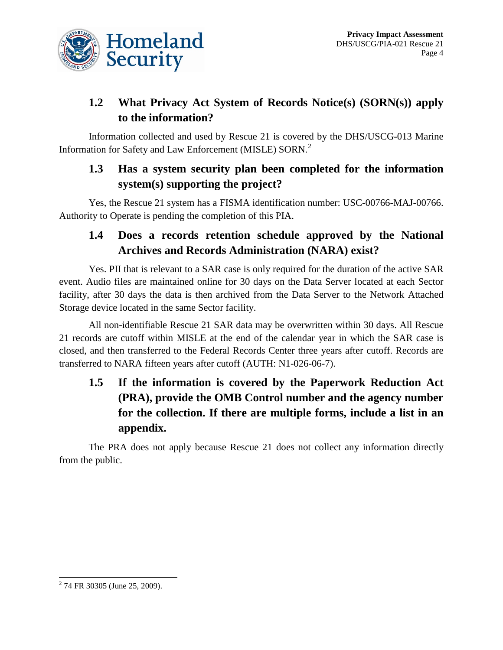

# **1.2 What Privacy Act System of Records Notice(s) (SORN(s)) apply to the information?**

Information collected and used by Rescue 21 is covered by the DHS/USCG-013 Marine Information for Safety and Law Enforcement (MISLE) SORN.<sup>[2](#page-4-0)</sup>

# **1.3 Has a system security plan been completed for the information system(s) supporting the project?**

Yes, the Rescue 21 system has a FISMA identification number: USC-00766-MAJ-00766. Authority to Operate is pending the completion of this PIA.

### **1.4 Does a records retention schedule approved by the National Archives and Records Administration (NARA) exist?**

Yes. PII that is relevant to a SAR case is only required for the duration of the active SAR event. Audio files are maintained online for 30 days on the Data Server located at each Sector facility, after 30 days the data is then archived from the Data Server to the Network Attached Storage device located in the same Sector facility.

All non-identifiable Rescue 21 SAR data may be overwritten within 30 days. All Rescue 21 records are cutoff within MISLE at the end of the calendar year in which the SAR case is closed, and then transferred to the Federal Records Center three years after cutoff. Records are transferred to NARA fifteen years after cutoff (AUTH: N1-026-06-7).

# **1.5 If the information is covered by the Paperwork Reduction Act (PRA), provide the OMB Control number and the agency number for the collection. If there are multiple forms, include a list in an appendix.**

The PRA does not apply because Rescue 21 does not collect any information directly from the public.

 $\overline{a}$ 

<span id="page-4-0"></span> $2$  74 FR 30305 (June 25, 2009).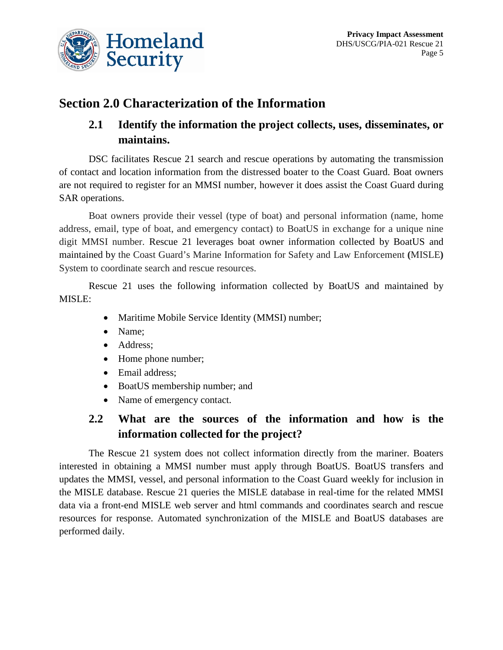

# **Section 2.0 Characterization of the Information**

# **2.1 Identify the information the project collects, uses, disseminates, or maintains.**

DSC facilitates Rescue 21 search and rescue operations by automating the transmission of contact and location information from the distressed boater to the Coast Guard. Boat owners are not required to register for an MMSI number, however it does assist the Coast Guard during SAR operations.

Boat owners provide their vessel (type of boat) and personal information (name, home address, email, type of boat, and emergency contact) to BoatUS in exchange for a unique nine digit MMSI number. Rescue 21 leverages boat owner information collected by BoatUS and maintained by the Coast Guard's Marine Information for Safety and Law Enforcement **(**MISLE**)** System to coordinate search and rescue resources.

Rescue 21 uses the following information collected by BoatUS and maintained by MISLE:

- Maritime Mobile Service Identity (MMSI) number;
- Name;
- Address;
- Home phone number;
- Email address;
- BoatUS membership number; and
- Name of emergency contact.

### **2.2 What are the sources of the information and how is the information collected for the project?**

The Rescue 21 system does not collect information directly from the mariner. Boaters interested in obtaining a MMSI number must apply through BoatUS. BoatUS transfers and updates the MMSI, vessel, and personal information to the Coast Guard weekly for inclusion in the MISLE database. Rescue 21 queries the MISLE database in real-time for the related MMSI data via a front-end MISLE web server and html commands and coordinates search and rescue resources for response. Automated synchronization of the MISLE and BoatUS databases are performed daily.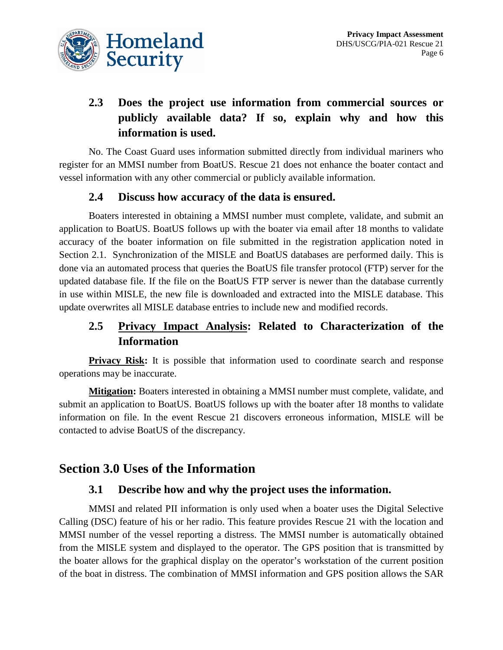

# **2.3 Does the project use information from commercial sources or publicly available data? If so, explain why and how this information is used.**

No. The Coast Guard uses information submitted directly from individual mariners who register for an MMSI number from BoatUS. Rescue 21 does not enhance the boater contact and vessel information with any other commercial or publicly available information.

#### **2.4 Discuss how accuracy of the data is ensured.**

Boaters interested in obtaining a MMSI number must complete, validate, and submit an application to BoatUS. BoatUS follows up with the boater via email after 18 months to validate accuracy of the boater information on file submitted in the registration application noted in Section 2.1. Synchronization of the MISLE and BoatUS databases are performed daily. This is done via an automated process that queries the BoatUS file transfer protocol (FTP) server for the updated database file. If the file on the BoatUS FTP server is newer than the database currently in use within MISLE, the new file is downloaded and extracted into the MISLE database. This update overwrites all MISLE database entries to include new and modified records.

### **2.5 Privacy Impact Analysis: Related to Characterization of the Information**

**Privacy Risk:** It is possible that information used to coordinate search and response operations may be inaccurate.

**Mitigation:** Boaters interested in obtaining a MMSI number must complete, validate, and submit an application to BoatUS. BoatUS follows up with the boater after 18 months to validate information on file. In the event Rescue 21 discovers erroneous information, MISLE will be contacted to advise BoatUS of the discrepancy.

### **Section 3.0 Uses of the Information**

#### **3.1 Describe how and why the project uses the information.**

MMSI and related PII information is only used when a boater uses the Digital Selective Calling (DSC) feature of his or her radio. This feature provides Rescue 21 with the location and MMSI number of the vessel reporting a distress. The MMSI number is automatically obtained from the MISLE system and displayed to the operator. The GPS position that is transmitted by the boater allows for the graphical display on the operator's workstation of the current position of the boat in distress. The combination of MMSI information and GPS position allows the SAR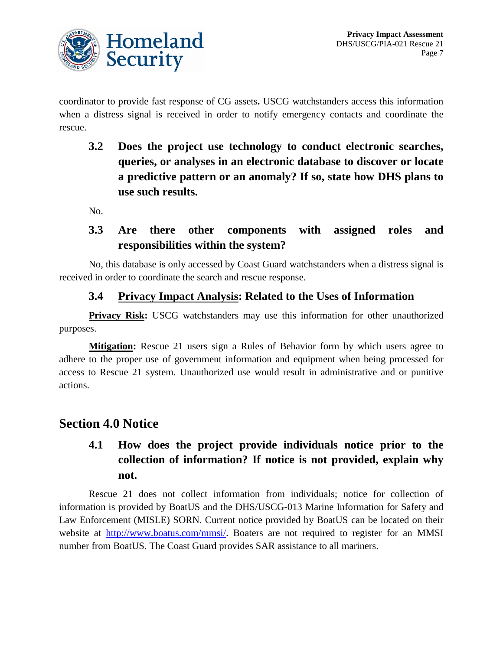

coordinator to provide fast response of CG assets**.** USCG watchstanders access this information when a distress signal is received in order to notify emergency contacts and coordinate the rescue.

**3.2 Does the project use technology to conduct electronic searches, queries, or analyses in an electronic database to discover or locate a predictive pattern or an anomaly? If so, state how DHS plans to use such results.**

No.

#### **3.3 Are there other components with assigned roles and responsibilities within the system?**

No, this database is only accessed by Coast Guard watchstanders when a distress signal is received in order to coordinate the search and rescue response.

#### **3.4 Privacy Impact Analysis: Related to the Uses of Information**

**Privacy Risk:** USCG watchstanders may use this information for other unauthorized purposes.

**Mitigation:** Rescue 21 users sign a Rules of Behavior form by which users agree to adhere to the proper use of government information and equipment when being processed for access to Rescue 21 system. Unauthorized use would result in administrative and or punitive actions.

### **Section 4.0 Notice**

# **4.1 How does the project provide individuals notice prior to the collection of information? If notice is not provided, explain why not.**

Rescue 21 does not collect information from individuals; notice for collection of information is provided by BoatUS and the DHS/USCG-013 Marine Information for Safety and Law Enforcement (MISLE) SORN. Current notice provided by BoatUS can be located on their website at [http://www.boatus.com/mmsi/.](http://www.boatus.com/mmsi/) Boaters are not required to register for an MMSI number from BoatUS. The Coast Guard provides SAR assistance to all mariners.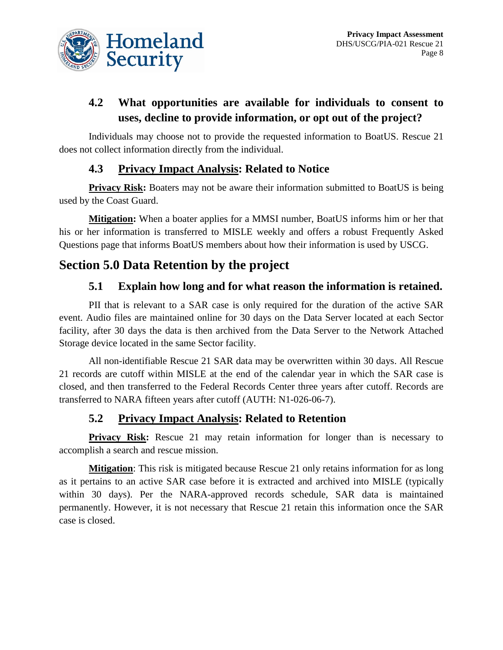

# **4.2 What opportunities are available for individuals to consent to uses, decline to provide information, or opt out of the project?**

Individuals may choose not to provide the requested information to BoatUS. Rescue 21 does not collect information directly from the individual.

#### **4.3 Privacy Impact Analysis: Related to Notice**

**Privacy Risk:** Boaters may not be aware their information submitted to BoatUS is being used by the Coast Guard.

**Mitigation:** When a boater applies for a MMSI number, BoatUS informs him or her that his or her information is transferred to MISLE weekly and offers a robust Frequently Asked Questions page that informs BoatUS members about how their information is used by USCG.

# **Section 5.0 Data Retention by the project**

#### **5.1 Explain how long and for what reason the information is retained.**

PII that is relevant to a SAR case is only required for the duration of the active SAR event. Audio files are maintained online for 30 days on the Data Server located at each Sector facility, after 30 days the data is then archived from the Data Server to the Network Attached Storage device located in the same Sector facility.

All non-identifiable Rescue 21 SAR data may be overwritten within 30 days. All Rescue 21 records are cutoff within MISLE at the end of the calendar year in which the SAR case is closed, and then transferred to the Federal Records Center three years after cutoff. Records are transferred to NARA fifteen years after cutoff (AUTH: N1-026-06-7).

#### **5.2 Privacy Impact Analysis: Related to Retention**

**Privacy Risk:** Rescue 21 may retain information for longer than is necessary to accomplish a search and rescue mission.

**Mitigation**: This risk is mitigated because Rescue 21 only retains information for as long as it pertains to an active SAR case before it is extracted and archived into MISLE (typically within 30 days). Per the NARA-approved records schedule, SAR data is maintained permanently. However, it is not necessary that Rescue 21 retain this information once the SAR case is closed.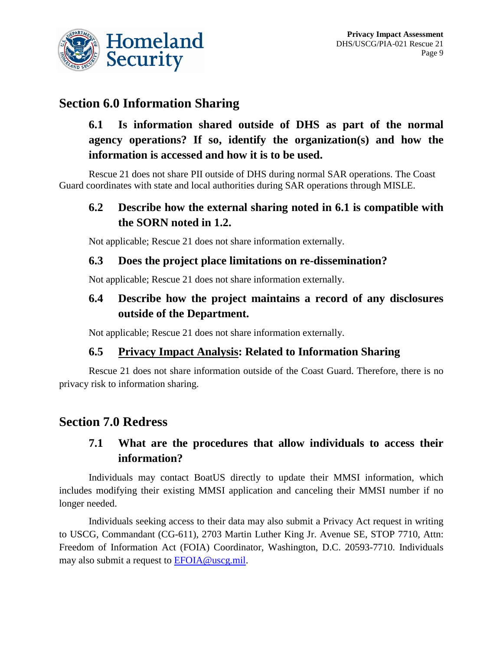

# **Section 6.0 Information Sharing**

**6.1 Is information shared outside of DHS as part of the normal agency operations? If so, identify the organization(s) and how the information is accessed and how it is to be used.**

Rescue 21 does not share PII outside of DHS during normal SAR operations. The Coast Guard coordinates with state and local authorities during SAR operations through MISLE.

#### **6.2 Describe how the external sharing noted in 6.1 is compatible with the SORN noted in 1.2.**

Not applicable; Rescue 21 does not share information externally.

#### **6.3 Does the project place limitations on re-dissemination?**

Not applicable; Rescue 21 does not share information externally.

#### **6.4 Describe how the project maintains a record of any disclosures outside of the Department.**

Not applicable; Rescue 21 does not share information externally.

#### **6.5 Privacy Impact Analysis: Related to Information Sharing**

Rescue 21 does not share information outside of the Coast Guard. Therefore, there is no privacy risk to information sharing.

### **Section 7.0 Redress**

#### **7.1 What are the procedures that allow individuals to access their information?**

Individuals may contact BoatUS directly to update their MMSI information, which includes modifying their existing MMSI application and canceling their MMSI number if no longer needed.

Individuals seeking access to their data may also submit a Privacy Act request in writing to USCG, Commandant (CG-611), 2703 Martin Luther King Jr. Avenue SE, STOP 7710, Attn: Freedom of Information Act (FOIA) Coordinator, Washington, D.C. 20593-7710. Individuals may also submit a request to [EFOIA@uscg.mil.](mailto:EFOIA@uscg.mil)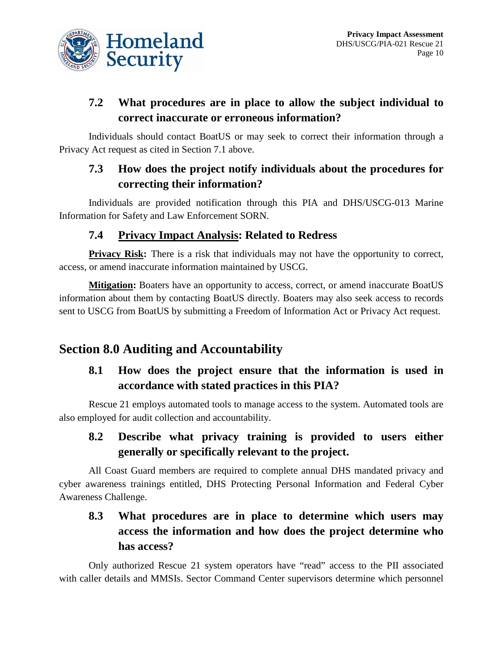

### **7.2 What procedures are in place to allow the subject individual to correct inaccurate or erroneous information?**

Individuals should contact BoatUS or may seek to correct their information through a Privacy Act request as cited in Section 7.1 above.

# **7.3 How does the project notify individuals about the procedures for correcting their information?**

Individuals are provided notification through this PIA and DHS/USCG-013 Marine Information for Safety and Law Enforcement SORN.

#### **7.4 Privacy Impact Analysis: Related to Redress**

**Privacy Risk:** There is a risk that individuals may not have the opportunity to correct, access, or amend inaccurate information maintained by USCG.

**Mitigation:** Boaters have an opportunity to access, correct, or amend inaccurate BoatUS information about them by contacting BoatUS directly. Boaters may also seek access to records sent to USCG from BoatUS by submitting a Freedom of Information Act or Privacy Act request.

# **Section 8.0 Auditing and Accountability**

### **8.1 How does the project ensure that the information is used in accordance with stated practices in this PIA?**

Rescue 21 employs automated tools to manage access to the system. Automated tools are also employed for audit collection and accountability.

#### **8.2 Describe what privacy training is provided to users either generally or specifically relevant to the project.**

All Coast Guard members are required to complete annual DHS mandated privacy and cyber awareness trainings entitled, DHS Protecting Personal Information and Federal Cyber Awareness Challenge.

# **8.3 What procedures are in place to determine which users may access the information and how does the project determine who has access?**

Only authorized Rescue 21 system operators have "read" access to the PII associated with caller details and MMSIs. Sector Command Center supervisors determine which personnel